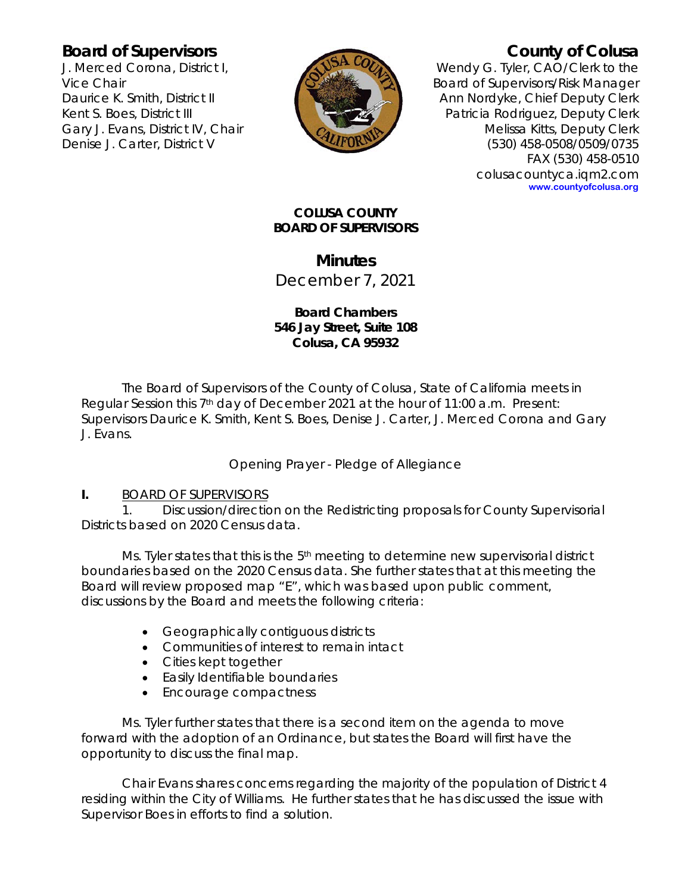## **Board of Supervisors**

J. Merced Corona, District I, Vice Chair Daurice K. Smith, District II Kent S. Boes, District III Gary J. Evans, District IV, Chair Denise J. Carter, District V



# **County of Colusa**

Wendy G. Tyler, CAO/Clerk to the Board of Supervisors/Risk Manager Ann Nordyke, Chief Deputy Clerk Patricia Rodriguez, Deputy Clerk Melissa Kitts, Deputy Clerk (530) 458-0508/0509/0735 FAX (530) 458-0510 colusacountyca.iqm2.com **www.countyofcolusa.org**

#### **COLUSA COUNTY BOARD OF SUPERVISORS**

# **Minutes**

December 7, 2021

## **Board Chambers 546 Jay Street, Suite 108 Colusa, CA 95932**

The Board of Supervisors of the County of Colusa, State of California meets in Regular Session this 7<sup>th</sup> day of December 2021 at the hour of 11:00 a.m. Present: Supervisors Daurice K. Smith, Kent S. Boes, Denise J. Carter, J. Merced Corona and Gary J. Evans.

Opening Prayer - Pledge of Allegiance

## **I.** BOARD OF SUPERVISORS

1. Discussion/direction on the Redistricting proposals for County Supervisorial Districts based on 2020 Census data.

Ms. Tyler states that this is the  $5<sup>th</sup>$  meeting to determine new supervisorial district boundaries based on the 2020 Census data. She further states that at this meeting the Board will review proposed map "E", which was based upon public comment, discussions by the Board and meets the following criteria:

- Geographically contiguous districts
- Communities of interest to remain intact
- Cities kept together
- Easily Identifiable boundaries
- Encourage compactness

Ms. Tyler further states that there is a second item on the agenda to move forward with the adoption of an Ordinance, but states the Board will first have the opportunity to discuss the final map.

Chair Evans shares concerns regarding the majority of the population of District 4 residing within the City of Williams. He further states that he has discussed the issue with Supervisor Boes in efforts to find a solution.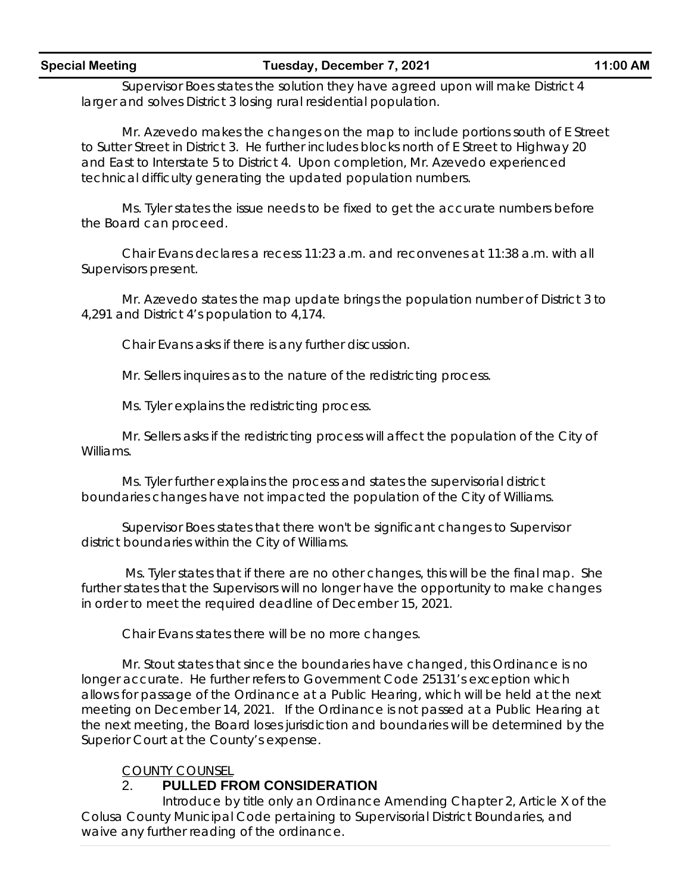#### **Special Meeting Tuesday, December 7, 2021 11:00 AM**

Supervisor Boes states the solution they have agreed upon will make District 4 larger and solves District 3 losing rural residential population.

Mr. Azevedo makes the changes on the map to include portions south of E Street to Sutter Street in District 3. He further includes blocks north of E Street to Highway 20 and East to Interstate 5 to District 4. Upon completion, Mr. Azevedo experienced technical difficulty generating the updated population numbers.

Ms. Tyler states the issue needs to be fixed to get the accurate numbers before the Board can proceed.

Chair Evans declares a recess 11:23 a.m. and reconvenes at 11:38 a.m. with all Supervisors present.

Mr. Azevedo states the map update brings the population number of District 3 to 4,291 and District 4's population to 4,174.

Chair Evans asks if there is any further discussion.

Mr. Sellers inquires as to the nature of the redistricting process.

Ms. Tyler explains the redistricting process.

Mr. Sellers asks if the redistricting process will affect the population of the City of Williams.

Ms. Tyler further explains the process and states the supervisorial district boundaries changes have not impacted the population of the City of Williams.

Supervisor Boes states that there won't be significant changes to Supervisor district boundaries within the City of Williams.

Ms. Tyler states that if there are no other changes, this will be the final map. She further states that the Supervisors will no longer have the opportunity to make changes in order to meet the required deadline of December 15, 2021.

Chair Evans states there will be no more changes.

Mr. Stout states that since the boundaries have changed, this Ordinance is no longer accurate. He further refers to Government Code 25131's exception which allows for passage of the Ordinance at a Public Hearing, which will be held at the next meeting on December 14, 2021. If the Ordinance is not passed at a Public Hearing at the next meeting, the Board loses jurisdiction and boundaries will be determined by the Superior Court at the County's expense.

#### COUNTY COUNSEL

## 2. **PULLED FROM CONSIDERATION**

Introduce by title only an Ordinance Amending Chapter 2, Article X of the Colusa County Municipal Code pertaining to Supervisorial District Boundaries, and waive any further reading of the ordinance.